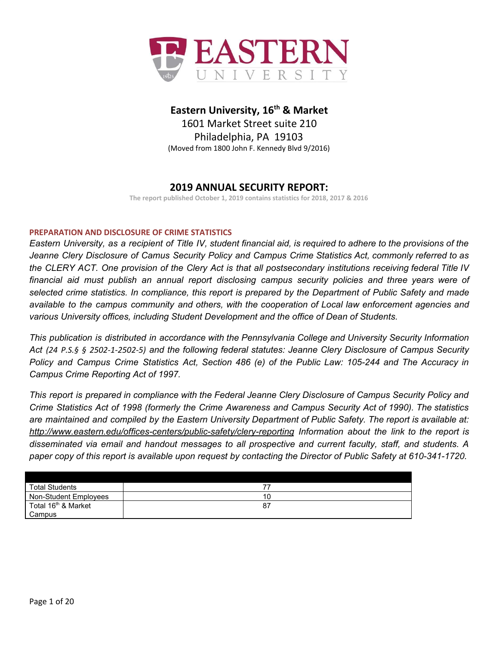

# **Eastern University, 16 th & Market**

1601 Market Street suite 210 Philadelphia, PA 19103 (Moved from 1800 John F. Kennedy Blvd 9/2016)

# **2019 ANNUAL SECURITY REPORT:**

**The report published October 1, 2019 contains statistics for 2018, 2017 & 2016**

# **PREPARATION AND DISCLOSURE OF CRIME STATISTICS**

Eastern University, as a recipient of Title IV, student financial aid, is required to adhere to the provisions of the *Jeanne Clery Disclosure of Camus Security Policy and Campus Crime Statistics Act, commonly referred to as* the CLERY ACT. One provision of the Clery Act is that all postsecondary institutions receiving federal Title IV *financial aid must publish an annual report disclosing campus security policies and three years were of* selected crime statistics. In compliance, this report is prepared by the Department of Public Safety and made *available to the campus community and others, with the cooperation of Local law enforcement agencies and various University offices, including Student Development and the office of Dean of Students.*

*This publication is distributed in accordance with the Pennsylvania College and University Security Information Act (24 P.S.§ § 2502-1-2502-5) and the following federal statutes: Jeanne Clery Disclosure of Campus Security* Policy and Campus Crime Statistics Act, Section 486 (e) of the Public Law: 105-244 and The Accuracy in *Campus Crime Reporting Act of 1997.*

This report is prepared in compliance with the Federal Jeanne Clery Disclosure of Campus Security Policy and Crime Statistics Act of 1998 (formerly the Crime Awareness and Campus Security Act of 1990). The statistics are maintained and compiled by the Eastern University Department of Public Safety. The report is available at: *<http://www.eastern.edu/offices-centers/public-safety/clery-reporting> Information about the link to the report is disseminated via email and handout messages to all prospective and current faculty, staff, and students. A* paper copy of this report is available upon request by contacting the Director of Public Safety at 610-341-1720.

| <b>Total Students</b>           |     |
|---------------------------------|-----|
| Non-Student Employees           | 10  |
| Total 16 <sup>th</sup> & Market | -87 |
| Campus                          |     |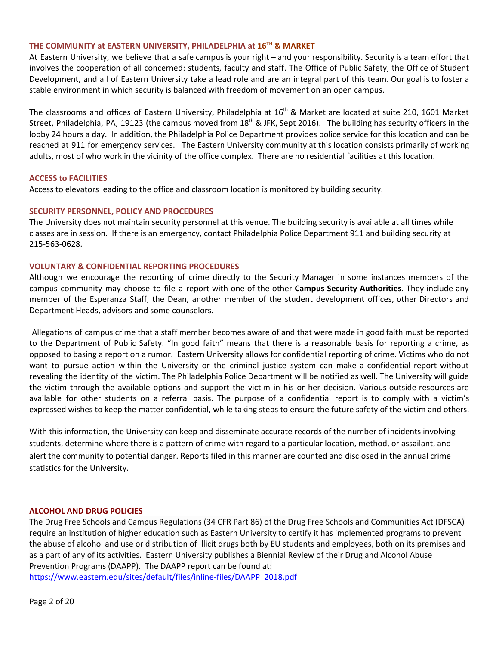## **THE COMMUNITY at EASTERN UNIVERSITY, PHILADELPHIA at 16 TH & MARKET**

At Eastern University, we believe that a safe campus is your right – and your responsibility. Security is a team effort that involves the cooperation of all concerned: students, faculty and staff. The Office of Public Safety, the Office of Student Development, and all of Eastern University take a lead role and are an integral part of this team. Our goal is to foster a stable environment in which security is balanced with freedom of movement on an open campus.

The classrooms and offices of Eastern University, Philadelphia at 16<sup>th</sup> & Market are located at suite 210, 1601 Market Street, Philadelphia, PA, 19123 (the campus moved from 18<sup>th</sup> & JFK, Sept 2016). The building has security officers in the lobby 24 hours a day. In addition, the Philadelphia Police Department provides police service for this location and can be reached at 911 for emergency services. The Eastern University community at this location consists primarily of working adults, most of who work in the vicinity of the office complex. There are no residential facilities at this location.

#### **ACCESS to FACILITIES**

Access to elevators leading to the office and classroom location is monitored by building security.

#### **SECURITY PERSONNEL, POLICY AND PROCEDURES**

The University does not maintain security personnel at this venue. The building security is available at all times while classes are in session. If there is an emergency, contact Philadelphia Police Department 911 and building security at 215-563-0628.

#### **VOLUNTARY & CONFIDENTIAL REPORTING PROCEDURES**

Although we encourage the reporting of crime directly to the Security Manager in some instances members of the campus community may choose to file a report with one of the other **Campus Security Authorities**. They include any member of the Esperanza Staff, the Dean, another member of the student development offices, other Directors and Department Heads, advisors and some counselors.

Allegations of campus crime that a staff member becomes aware of and that were made in good faith must be reported to the Department of Public Safety. "In good faith" means that there is a reasonable basis for reporting a crime, as opposed to basing a report on a rumor. Eastern University allows for confidential reporting of crime. Victims who do not want to pursue action within the University or the criminal justice system can make a confidential report without revealing the identity of the victim. The Philadelphia Police Department will be notified as well. The University will guide the victim through the available options and support the victim in his or her decision. Various outside resources are available for other students on a referral basis. The purpose of a confidential report is to comply with a victim's expressed wishes to keep the matter confidential, while taking steps to ensure the future safety of the victim and others.

With this information, the University can keep and disseminate accurate records of the number of incidents involving students, determine where there is a pattern of crime with regard to a particular location, method, or assailant, and alert the community to potential danger. Reports filed in this manner are counted and disclosed in the annual crime statistics for the University.

#### **ALCOHOL AND DRUG POLICIES**

The Drug Free Schools and Campus Regulations (34 CFR Part 86) of the Drug Free Schools and Communities Act (DFSCA) require an institution of higher education such as Eastern University to certify it has implemented programs to prevent the abuse of alcohol and use or distribution of illicit drugs both by EU students and employees, both on its premises and as a part of any of its activities. Eastern University publishes a Biennial Review of their Drug and Alcohol Abuse Prevention Programs (DAAPP). The DAAPP report can be found at:

[https://www.eastern.edu/sites/default/files/inline-files/DAAPP\\_2018.pdf](https://www.eastern.edu/sites/default/files/inline-files/DAAPP_2018.pdf)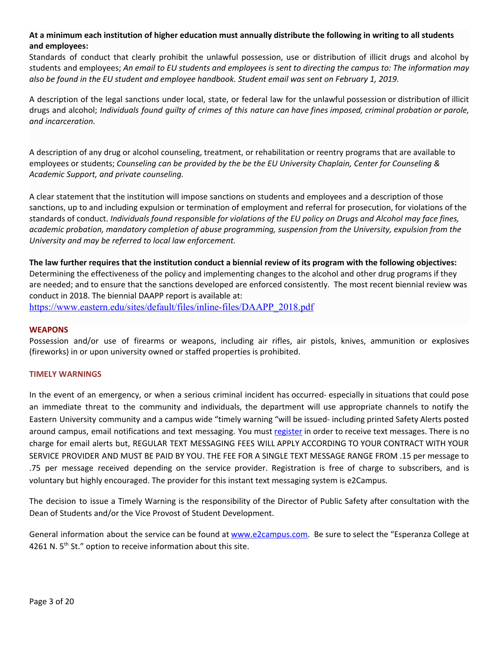# At a minimum each institution of higher education must annually distribute the following in writing to all students **and employees:**

Standards of conduct that clearly prohibit the unlawful possession, use or distribution of illicit drugs and alcohol by students and employees; An email to EU students and employees is sent to directing the campus to: The information may *also be found in the EU student and employee handbook. Student email was sent on February 1, 2019.*

A description of the legal sanctions under local, state, or federal law for the unlawful possession or distribution of illicit drugs and alcohol; Individuals found guilty of crimes of this nature can have fines imposed, criminal probation or parole, *and incarceration.*

A description of any drug or alcohol counseling, treatment, or rehabilitation or reentry programs that are available to employees or students; *Counseling can be provided by the be the EU University Chaplain, Center for Counseling & Academic Support, and private counseling.*

A clear statement that the institution will impose sanctions on students and employees and a description of those sanctions, up to and including expulsion or termination of employment and referral for prosecution, for violations of the standards of conduct. Individuals found responsible for violations of the EU policy on Drugs and Alcohol may face fines, *academic probation, mandatory completion of abuse programming, suspension from the University, expulsion from the University and may be referred to local law enforcement.*

The law further requires that the institution conduct a biennial review of its program with the following objectives: Determining the effectiveness of the policy and implementing changes to the alcohol and other drug programs if they are needed; and to ensure that the sanctions developed are enforced consistently. The most recent biennial review was conduct in 2018. The biennial DAAPP report is available at: [https://www.eastern.edu/sites/default/files/inline-files/DAAPP\\_2018.pdf](https://www.eastern.edu/sites/default/files/inline-files/DAAPP_2018.pdf)

# **WEAPONS**

Possession and/or use of firearms or weapons, including air rifles, air pistols, knives, ammunition or explosives (fireworks) in or upon university owned or staffed properties is prohibited.

# **TIMELY WARNINGS**

In the event of an emergency, or when a serious criminal incident has occurred- especially in situations that could pose an immediate threat to the community and individuals, the department will use appropriate channels to notify the Eastern University community and a campus wide "timely warning "will be issued- including printed Safety Alerts posted around campus, email notifications and text messaging. You must [register](http://www.eastern.edu/offices-centers/safety-and-security/eu-emergency-alert-system-0) in order to receive text messages. There is no charge for email alerts but, REGULAR TEXT MESSAGING FEES WILL APPLY ACCORDING TO YOUR CONTRACT WITH YOUR SERVICE PROVIDER AND MUST BE PAID BY YOU. THE FEE FOR A SINGLE TEXT MESSAGE RANGE FROM .15 per message to .75 per message received depending on the service provider. Registration is free of charge to subscribers, and is voluntary but highly encouraged. The provider for this instant text messaging system is e2Campus.

The decision to issue a Timely Warning is the responsibility of the Director of Public Safety after consultation with the Dean of Students and/or the Vice Provost of Student Development.

General information about the service can be found at [www.e2campus.com.](http://www.e2campus.com/) Be sure to select the "Esperanza College at 4261 N.  $5<sup>th</sup>$  St." option to receive information about this site.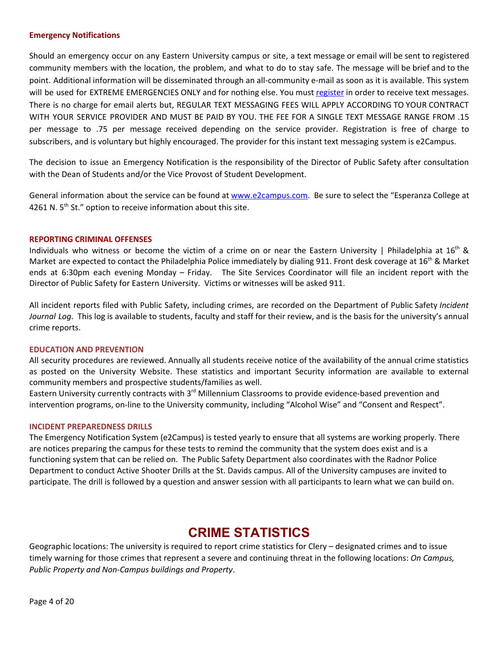#### **Emergency Notifications**

Should an emergency occur on any Eastern University campus or site, a text message or email will be sent to registered community members with the location, the problem, and what to do to stay safe. The message will be brief and to the point. Additional information will be disseminated through an all-community e-mail as soon as it is available. This system will be used for EXTREME EMERGENCIES ONLY and for nothing else. You must [register](http://www.eastern.edu/offices-centers/safety-and-security/eu-emergency-alert-system-0) in order to receive text messages. There is no charge for email alerts but, REGULAR TEXT MESSAGING FEES WILL APPLY ACCORDING TO YOUR CONTRACT WITH YOUR SERVICE PROVIDER AND MUST BE PAID BY YOU. THE FEE FOR A SINGLE TEXT MESSAGE RANGE FROM .15 per message to .75 per message received depending on the service provider. Registration is free of charge to subscribers, and is voluntary but highly encouraged. The provider for this instant text messaging system is e2Campus.

The decision to issue an Emergency Notification is the responsibility of the Director of Public Safety after consultation with the Dean of Students and/or the Vice Provost of Student Development.

General information about the service can be found at [www.e2campus.com.](http://www.e2campus.com/) Be sure to select the "Esperanza College at 4261 N.  $5<sup>th</sup>$  St." option to receive information about this site.

#### **REPORTING CRIMINAL OFFENSES**

Individuals who witness or become the victim of a crime on or near the Eastern University | Philadelphia at  $16^{th}$  & Market are expected to contact the Philadelphia Police immediately by dialing 911. Front desk coverage at 16<sup>th</sup> & Market ends at 6:30pm each evening Monday – Friday. The Site Services Coordinator will file an incident report with the Director of Public Safety for Eastern University. Victims or witnesses will be asked 911.

All incident reports filed with Public Safety, including crimes, are recorded on the Department of Public Safety *Incident Journal Log*. This log is available to students, faculty and staff for their review, and is the basis for the university's annual crime reports.

#### **EDUCATION AND PREVENTION**

All security procedures are reviewed. Annually all students receive notice of the availability of the annual crime statistics as posted on the University Website. These statistics and important Security information are available to external community members and prospective students/families as well.

Eastern University currently contracts with 3<sup>rd</sup> Millennium Classrooms to provide evidence-based prevention and intervention programs, on-line to the University community, including "Alcohol Wise" and "Consent and Respect".

#### **INCIDENT PREPAREDNESS DRILLS**

The Emergency Notification System (e2Campus) is tested yearly to ensure that all systems are working properly. There are notices preparing the campus for these tests to remind the community that the system does exist and is a functioning system that can be relied on. The Public Safety Department also coordinates with the Radnor Police Department to conduct Active Shooter Drills at the St. Davids campus. All of the University campuses are invited to participate. The drill is followed by a question and answer session with all participants to learn what we can build on.

# **CRIME STATISTICS**

Geographic locations: The university is required to report crime statistics for Clery – designated crimes and to issue timely warning for those crimes that represent a severe and continuing threat in the following locations: *On Campus, Public Property and Non-Campus buildings and Property*.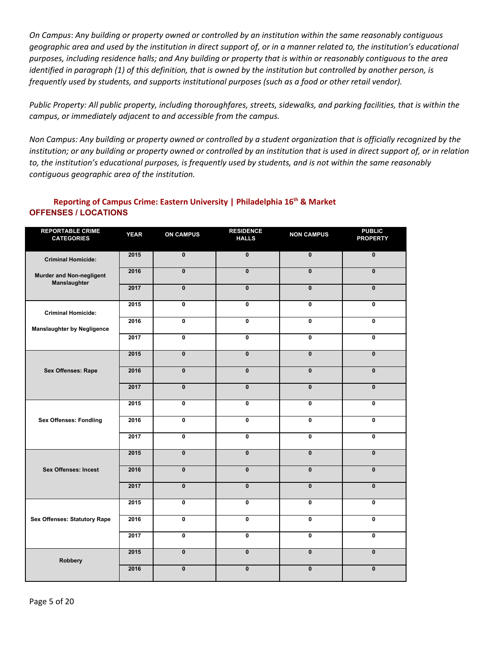On Campus: Any building or property owned or controlled by an institution within the same reasonably contiguous geographic area and used by the institution in direct support of, or in a manner related to, the institution's educational purposes, including residence halls; and Any building or property that is within or reasonably contiguous to the area identified in paragraph (1) of this definition, that is owned by the institution but controlled by another person, is *frequently used by students, and supports institutional purposes (such as a food or other retail vendor).*

Public Property: All public property, including thoroughfares, streets, sidewalks, and parking facilities, that is within the *campus, or immediately adjacent to and accessible from the campus.*

Non Campus: Any building or property owned or controlled by a student organization that is officially recognized by the institution; or any building or property owned or controlled by an institution that is used in direct support of, or in relation to, the institution's educational purposes, is frequently used by students, and is not within the same reasonably *contiguous geographic area of the institution.*

# **Reporting of Campus Crime: Eastern University | Philadelphia 16 th & Market OFFENSES / LOCATIONS**

| <b>REPORTABLE CRIME</b><br><b>CATEGORIES</b>    | <b>YEAR</b> | <b>ON CAMPUS</b>        | <b>RESIDENCE</b><br><b>HALLS</b> | <b>NON CAMPUS</b>       | <b>PUBLIC</b><br><b>PROPERTY</b> |
|-------------------------------------------------|-------------|-------------------------|----------------------------------|-------------------------|----------------------------------|
| <b>Criminal Homicide:</b>                       | 2015        | $\overline{\mathbf{0}}$ | $\mathbf{0}$                     | $\overline{\mathbf{0}}$ | $\mathbf{0}$                     |
| <b>Murder and Non-negligent</b><br>Manslaughter | 2016        | $\mathbf{0}$            | $\mathbf{0}$                     | $\mathbf{0}$            | $\mathbf{0}$                     |
|                                                 | 2017        | $\mathbf{0}$            | $\mathbf{0}$                     | $\mathbf{0}$            | $\mathbf{0}$                     |
| <b>Criminal Homicide:</b>                       | 2015        | 0                       | 0                                | 0                       | $\mathbf 0$                      |
| <b>Manslaughter by Negligence</b>               | 2016        | $\overline{\mathbf{0}}$ | 0                                | 0                       | $\mathbf 0$                      |
|                                                 | 2017        | $\mathbf{0}$            | $\mathbf{0}$                     | $\mathbf{0}$            | $\mathbf{0}$                     |
|                                                 | 2015        | $\mathbf{0}$            | $\mathbf{0}$                     | $\mathbf{0}$            | $\mathbf{0}$                     |
| Sex Offenses: Rape                              | 2016        | $\mathbf{0}$            | $\mathbf{0}$                     | $\mathbf{0}$            | $\mathbf{0}$                     |
|                                                 | 2017        | $\mathbf{0}$            | $\mathbf{0}$                     | $\mathbf{0}$            | $\mathbf{0}$                     |
| <b>Sex Offenses: Fondling</b>                   | 2015        | 0                       | $\mathbf{0}$                     | $\mathbf 0$             | $\mathbf 0$                      |
|                                                 | 2016        | 0                       | 0                                | 0                       | $\mathbf{0}$                     |
|                                                 | 2017        | 0                       | 0                                | 0                       | $\mathbf 0$                      |
|                                                 | 2015        | $\overline{\mathbf{0}}$ | $\mathbf{0}$                     | $\mathbf{0}$            | $\mathbf{0}$                     |
| <b>Sex Offenses: Incest</b>                     | 2016        | $\mathbf{0}$            | $\mathbf{0}$                     | $\mathbf{0}$            | $\mathbf{0}$                     |
|                                                 | 2017        | $\mathbf{0}$            | $\mathbf{0}$                     | $\mathbf{0}$            | $\mathbf{0}$                     |
| <b>Sex Offenses: Statutory Rape</b>             | 2015        | 0                       | $\mathbf{0}$                     | $\mathbf{0}$            | $\mathbf{0}$                     |
|                                                 | 2016        | $\overline{\mathbf{0}}$ | $\overline{\mathbf{0}}$          | $\mathbf 0$             | $\mathbf 0$                      |
|                                                 | 2017        | 0                       | $\mathbf 0$                      | 0                       | 0                                |
| <b>Robbery</b>                                  | 2015        | $\mathbf{0}$            | $\mathbf{0}$                     | $\mathbf{0}$            | $\mathbf{0}$                     |
|                                                 | 2016        | $\pmb{0}$               | $\pmb{0}$                        | $\pmb{0}$               | $\pmb{0}$                        |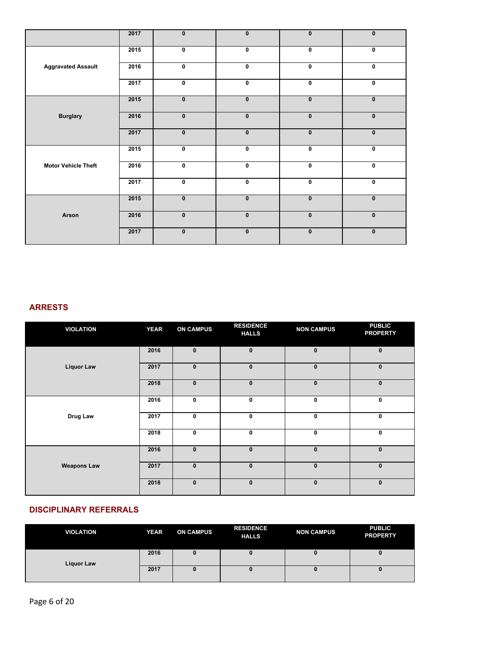|                            | 2017 | $\mathbf{0}$ | $\mathbf{0}$ | $\pmb{0}$    | $\mathbf{0}$ |
|----------------------------|------|--------------|--------------|--------------|--------------|
|                            | 2015 | $\mathbf 0$  | $\mathbf 0$  | 0            | $\mathbf 0$  |
| <b>Aggravated Assault</b>  | 2016 | $\mathbf 0$  | $\pmb{0}$    | 0            | $\pmb{0}$    |
|                            | 2017 | $\mathbf 0$  | $\pmb{0}$    | $\mathbf 0$  | $\mathbf 0$  |
|                            | 2015 | $\pmb{0}$    | $\mathbf{0}$ | $\pmb{0}$    | $\pmb{0}$    |
| <b>Burglary</b>            | 2016 | $\pmb{0}$    | $\pmb{0}$    | $\bf{0}$     | $\pmb{0}$    |
|                            | 2017 | $\mathbf{0}$ | $\mathbf{0}$ | $\bf{0}$     | $\pmb{0}$    |
|                            | 2015 | $\mathbf 0$  | $\mathbf 0$  | 0            | $\mathbf 0$  |
| <b>Motor Vehicle Theft</b> | 2016 | $\pmb{0}$    | $\mathbf 0$  | 0            | $\mathbf 0$  |
|                            | 2017 | $\mathbf 0$  | $\mathbf 0$  | 0            | $\mathbf 0$  |
|                            | 2015 | $\mathbf{0}$ | $\mathbf{0}$ | $\mathbf{0}$ | $\mathbf{0}$ |
| Arson                      | 2016 | $\mathbf{0}$ | $\mathbf{0}$ | $\mathbf{0}$ | $\mathbf{0}$ |
|                            | 2017 | $\mathbf{0}$ | $\mathbf{0}$ | $\mathbf 0$  | $\mathbf 0$  |

# **ARRESTS**

| <b>VIOLATION</b>   | <b>YEAR</b> | <b>ON CAMPUS</b> | <b>RESIDENCE</b><br><b>HALLS</b> | <b>NON CAMPUS</b> | <b>PUBLIC</b><br><b>PROPERTY</b> |
|--------------------|-------------|------------------|----------------------------------|-------------------|----------------------------------|
|                    | 2016        | $\mathbf{0}$     | $\mathbf{0}$                     | $\mathbf{0}$      | $\mathbf{0}$                     |
| <b>Liquor Law</b>  | 2017        | $\pmb{0}$        | $\mathbf{0}$                     | $\bf{0}$          | $\bf{0}$                         |
|                    | 2018        | $\mathbf{0}$     | $\mathbf{0}$                     | $\mathbf{0}$      | $\mathbf{0}$                     |
|                    | 2016        | 0                | $\mathbf 0$                      | 0                 | 0                                |
| Drug Law           | 2017        | $\mathbf 0$      | $\mathbf 0$                      | 0                 | 0                                |
|                    | 2018        | 0                | $\mathbf 0$                      | 0                 | $\mathbf 0$                      |
|                    | 2016        | $\pmb{0}$        | $\pmb{0}$                        | $\bf{0}$          | $\mathbf{0}$                     |
| <b>Weapons Law</b> | 2017        | $\mathbf{0}$     | $\mathbf{0}$                     | $\mathbf{0}$      | $\mathbf{0}$                     |
|                    | 2018        | $\pmb{0}$        | $\pmb{0}$                        | $\bf{0}$          | $\mathbf{0}$                     |

# **DISCIPLINARY REFERRALS**

| <b>VIOLATION</b>  | <b>YEAR</b> | <b>ON CAMPUS</b> | <b>RESIDENCE</b><br><b>HALLS</b> | <b>NON CAMPUS</b> | <b>PUBLIC</b><br><b>PROPERTY</b> |
|-------------------|-------------|------------------|----------------------------------|-------------------|----------------------------------|
| <b>Liquor Law</b> | 2016        | u                |                                  |                   |                                  |
|                   | 2017        | U                |                                  |                   |                                  |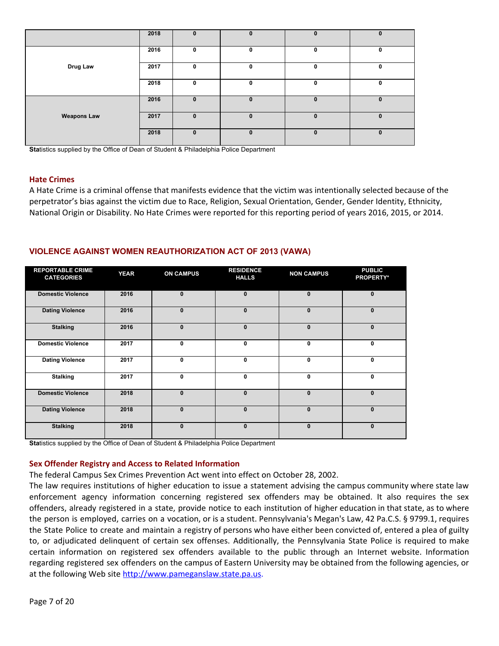|                    | 2018 | $\mathbf{0}$ | $\mathbf{0}$ | $\mathbf{0}$ | $\mathbf 0$ |
|--------------------|------|--------------|--------------|--------------|-------------|
|                    | 2016 | 0            |              | 0            | 0           |
| Drug Law           | 2017 | 0            | 0            | $\mathbf{0}$ | 0           |
|                    | 2018 | 0            | $\mathbf{0}$ | 0            | $\mathbf 0$ |
|                    | 2016 | $\bf{0}$     | $\bf{0}$     | $\mathbf{0}$ | $\mathbf 0$ |
| <b>Weapons Law</b> | 2017 | $\bf{0}$     | <sup>0</sup> | $\mathbf{0}$ | $\bf{0}$    |
|                    | 2018 | $\bf{0}$     | 0            | $\mathbf{0}$ | $\mathbf 0$ |

**Statistics supplied by the Office of Dean of Student & Philadelphia Police Department** 

#### **Hate Crimes**

A Hate Crime is a criminal offense that manifests evidence that the victim was intentionally selected because of the perpetrator's bias against the victim due to Race, Religion, Sexual Orientation, Gender, Gender Identity, Ethnicity, National Origin or Disability. No Hate Crimes were reported for this reporting period of years 2016, 2015, or 2014.

# **VIOLENCE AGAINST WOMEN REAUTHORIZATION ACT OF 2013 (VAWA)**

| <b>REPORTABLE CRIME</b><br><b>CATEGORIES</b> | <b>YEAR</b> | <b>ON CAMPUS</b> | <b>RESIDENCE</b><br><b>HALLS</b> | <b>NON CAMPUS</b> | <b>PUBLIC</b><br><b>PROPERTY*</b> |
|----------------------------------------------|-------------|------------------|----------------------------------|-------------------|-----------------------------------|
| <b>Domestic Violence</b>                     | 2016        | $\mathbf{0}$     | $\mathbf{0}$                     | $\bf{0}$          | $\mathbf{0}$                      |
| <b>Dating Violence</b>                       | 2016        | $\bf{0}$         | $\bf{0}$                         | 0                 | $\mathbf{0}$                      |
| <b>Stalking</b>                              | 2016        | $\mathbf{0}$     | $\bf{0}$                         | $\bf{0}$          | $\mathbf{0}$                      |
| <b>Domestic Violence</b>                     | 2017        | 0                | 0                                | 0                 | 0                                 |
| <b>Dating Violence</b>                       | 2017        | 0                | 0                                | 0                 | $\mathbf{0}$                      |
| <b>Stalking</b>                              | 2017        | $\mathbf{0}$     | 0                                | 0                 | $\mathbf{0}$                      |
| <b>Domestic Violence</b>                     | 2018        | $\mathbf{0}$     | $\mathbf{0}$                     | $\bf{0}$          | $\mathbf{0}$                      |
| <b>Dating Violence</b>                       | 2018        | $\Omega$         | $\bf{0}$                         | $\bf{0}$          | $\mathbf{0}$                      |
| <b>Stalking</b>                              | 2018        | $\Omega$         | $\bf{0}$                         | $\bf{0}$          | $\mathbf{0}$                      |

**Sta**tistics supplied by the Office of Dean of Student & Philadelphia Police Department

# **Sex Offender Registry and Access to Related Information**

The federal Campus Sex Crimes Prevention Act went into effect on October 28, 2002.

The law requires institutions of higher education to issue a statement advising the campus community where state law enforcement agency information concerning registered sex offenders may be obtained. It also requires the sex offenders, already registered in a state, provide notice to each institution of higher education in that state, as to where the person is employed, carries on a vocation, or is a student. Pennsylvania's Megan's Law, 42 Pa.C.S. § 9799.1, requires the State Police to create and maintain a registry of persons who have either been convicted of, entered a plea of guilty to, or adjudicated delinquent of certain sex offenses. Additionally, the Pennsylvania State Police is required to make certain information on registered sex offenders available to the public through an Internet website. Information regarding registered sex offenders on the campus of Eastern University may be obtained from the following agencies, or at the following Web site [http://www.pameganslaw.state.pa.us](http://www.pameganslaw.state.pa.us/).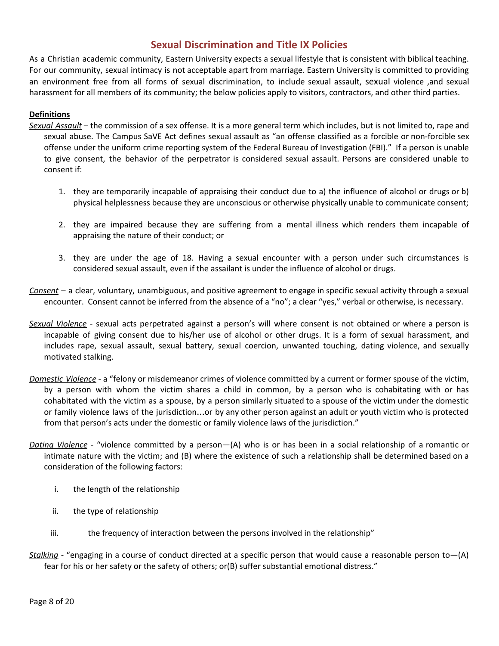# **Sexual Discrimination and Title IX Policies**

As a Christian academic community, Eastern University expects a sexual lifestyle that is consistent with biblical teaching. For our community, sexual intimacy is not acceptable apart from marriage. Eastern University is committed to providing an environment free from all forms of sexual discrimination, to include sexual assault, sexual violence ,and sexual harassment for all members of its community; the below policies apply to visitors, contractors, and other third parties.

# **Definitions**

- *Sexual Assault* the commission of a sex offense. It is a more general term which includes, but is not limited to, rape and sexual abuse. The Campus SaVE Act defines sexual assault as "an offense classified as a forcible or non-forcible sex offense under the uniform crime reporting system of the Federal Bureau of Investigation (FBI)." If a person is unable to give consent, the behavior of the perpetrator is considered sexual assault. Persons are considered unable to consent if:
	- 1. they are temporarily incapable of appraising their conduct due to a) the influence of alcohol or drugs or b) physical helplessness because they are unconscious or otherwise physically unable to communicate consent;
	- 2. they are impaired because they are suffering from a mental illness which renders them incapable of appraising the nature of their conduct; or
	- 3. they are under the age of 18. Having a sexual encounter with a person under such circumstances is considered sexual assault, even if the assailant is under the influence of alcohol or drugs.
- *Consent* a clear, voluntary, unambiguous, and positive agreement to engage in specific sexual activity through a sexual encounter. Consent cannot be inferred from the absence of a "no"; a clear "yes," verbal or otherwise, is necessary.
- *Sexual Violence* sexual acts perpetrated against a person's will where consent is not obtained or where a person is incapable of giving consent due to his/her use of alcohol or other drugs. It is a form of sexual harassment, and includes rape, sexual assault, sexual battery, sexual coercion, unwanted touching, dating violence, and sexually motivated stalking.
- *Domestic Violence* a "felony or misdemeanor crimes of violence committed by a current or former spouse of the victim, by a person with whom the victim shares a child in common, by a person who is cohabitating with or has cohabitated with the victim as a spouse, by a person similarly situated to a spouse of the victim under the domestic or family violence laws of the jurisdiction…or by any other person against an adult or youth victim who is protected from that person's acts under the domestic or family violence laws of the jurisdiction."
- *Dating Violence* "violence committed by a person—(A) who is or has been in a social relationship of a romantic or intimate nature with the victim; and (B) where the existence of such a relationship shall be determined based on a consideration of the following factors:
	- i. the length of the relationship
	- ii. the type of relationship
	- iii. the frequency of interaction between the persons involved in the relationship"
- *Stalking -* "engaging in a course of conduct directed at a specific person that would cause a reasonable person to—(A) fear for his or her safety or the safety of others; or(B) suffer substantial emotional distress."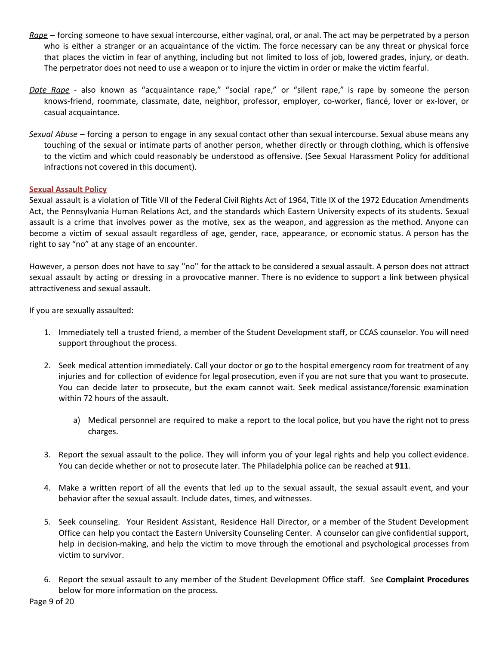- *Rape* forcing someone to have sexual intercourse, either vaginal, oral, or anal. The act may be perpetrated by a person who is either a stranger or an acquaintance of the victim. The force necessary can be any threat or physical force that places the victim in fear of anything, including but not limited to loss of job, lowered grades, injury, or death. The perpetrator does not need to use a weapon or to injure the victim in order or make the victim fearful.
- *Date Rape* also known as "acquaintance rape," "social rape," or "silent rape," is rape by someone the person knows-friend, roommate, classmate, date, neighbor, professor, employer, co-worker, fiancé, lover or ex-lover, or casual acquaintance.
- *Sexual Abuse* forcing a person to engage in any sexual contact other than sexual intercourse. Sexual abuse means any touching of the sexual or intimate parts of another person, whether directly or through clothing, which is offensive to the victim and which could reasonably be understood as offensive. (See Sexual Harassment Policy for additional infractions not covered in this document).

#### **Sexual Assault Policy**

Sexual assault is a violation of Title VII of the Federal Civil Rights Act of 1964, Title IX of the 1972 Education Amendments Act, the Pennsylvania Human Relations Act, and the standards which Eastern University expects of its students. Sexual assault is a crime that involves power as the motive, sex as the weapon, and aggression as the method. Anyone can become a victim of sexual assault regardless of age, gender, race, appearance, or economic status. A person has the right to say "no" at any stage of an encounter.

However, a person does not have to say "no" for the attack to be considered a sexual assault. A person does not attract sexual assault by acting or dressing in a provocative manner. There is no evidence to support a link between physical attractiveness and sexual assault.

If you are sexually assaulted:

- 1. Immediately tell a trusted friend, a member of the Student Development staff, or CCAS counselor. You will need support throughout the process.
- 2. Seek medical attention immediately. Call your doctor or go to the hospital emergency room for treatment of any injuries and for collection of evidence for legal prosecution, even if you are not sure that you want to prosecute. You can decide later to prosecute, but the exam cannot wait. Seek medical assistance/forensic examination within 72 hours of the assault.
	- a) Medical personnel are required to make a report to the local police, but you have the right not to press charges.
- 3. Report the sexual assault to the police. They will inform you of your legal rights and help you collect evidence. You can decide whether or not to prosecute later. The Philadelphia police can be reached at **911**.
- 4. Make a written report of all the events that led up to the sexual assault, the sexual assault event, and your behavior after the sexual assault. Include dates, times, and witnesses.
- 5. Seek counseling. Your Resident Assistant, Residence Hall Director, or a member of the Student Development Office can help you contact the Eastern University Counseling Center. A counselor can give confidential support, help in decision-making, and help the victim to move through the emotional and psychological processes from victim to survivor.
- 6. Report the sexual assault to any member of the Student Development Office staff. See **Complaint Procedures** below for more information on the process.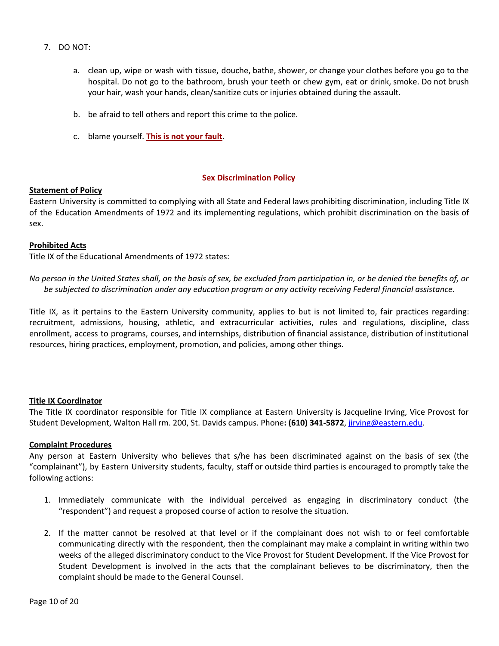- 7. DO NOT:
	- a. clean up, wipe or wash with tissue, douche, bathe, shower, or change your clothes before you go to the hospital. Do not go to the bathroom, brush your teeth or chew gym, eat or drink, smoke. Do not brush your hair, wash your hands, clean/sanitize cuts or injuries obtained during the assault.
	- b. be afraid to tell others and report this crime to the police.
	- c. blame yourself. **This is not your fault**.

#### **Sex Discrimination Policy**

#### **Statement of Policy**

Eastern University is committed to complying with all State and Federal laws prohibiting discrimination, including Title IX of the Education Amendments of 1972 and its implementing regulations, which prohibit discrimination on the basis of sex.

#### **Prohibited Acts**

Title IX of the Educational Amendments of 1972 states:

No person in the United States shall, on the basis of sex, be excluded from participation in, or be denied the benefits of, or *be subjected to discrimination under any education program or any activity receiving Federal financial assistance.*

Title IX, as it pertains to the Eastern University community, applies to but is not limited to, fair practices regarding: recruitment, admissions, housing, athletic, and extracurricular activities, rules and regulations, discipline, class enrollment, access to programs, courses, and internships, distribution of financial assistance, distribution of institutional resources, hiring practices, employment, promotion, and policies, among other things.

#### **Title IX Coordinator**

The Title IX coordinator responsible for Title IX compliance at Eastern University is Jacqueline Irving, Vice Provost for Student Development, Walton Hall rm. 200, St. Davids campus. Phone**: (610) 341-5872**, [jirving@eastern.edu](mailto:jirving@eastern.edu).

#### **Complaint Procedures**

Any person at Eastern University who believes that s/he has been discriminated against on the basis of sex (the "complainant"), by Eastern University students, faculty, staff or outside third parties is encouraged to promptly take the following actions:

- 1. Immediately communicate with the individual perceived as engaging in discriminatory conduct (the "respondent") and request a proposed course of action to resolve the situation.
- 2. If the matter cannot be resolved at that level or if the complainant does not wish to or feel comfortable communicating directly with the respondent, then the complainant may make a complaint in writing within two weeks of the alleged discriminatory conduct to the Vice Provost for Student Development. If the Vice Provost for Student Development is involved in the acts that the complainant believes to be discriminatory, then the complaint should be made to the General Counsel.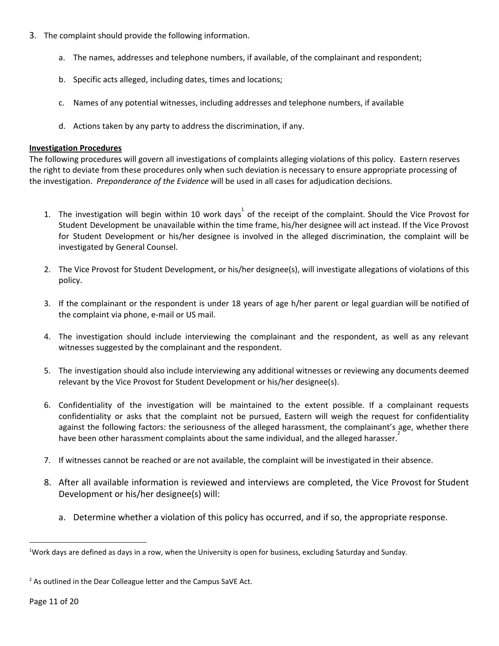- 3. The complaint should provide the following information.
	- a. The names, addresses and telephone numbers, if available, of the complainant and respondent;
	- b. Specific acts alleged, including dates, times and locations;
	- c. Names of any potential witnesses, including addresses and telephone numbers, if available
	- d. Actions taken by any party to address the discrimination, if any.

## **Investigation Procedures**

The following procedures will govern all investigations of complaints alleging violations of this policy. Eastern reserves the right to deviate from these procedures only when such deviation is necessary to ensure appropriate processing of the investigation. *Preponderance of the Evidence* will be used in all cases for adjudication decisions.

- 1. The investigation will begin within 10 work days<sup>1</sup> of the receipt of the complaint. Should the Vice Provost for Student Development be unavailable within the time frame, his/her designee will act instead. If the Vice Provost for Student Development or his/her designee is involved in the alleged discrimination, the complaint will be investigated by General Counsel.
- 2. The Vice Provost for Student Development, or his/her designee(s), will investigate allegations of violations of this policy.
- 3. If the complainant or the respondent is under 18 years of age h/her parent or legal guardian will be notified of the complaint via phone, e-mail or US mail.
- 4. The investigation should include interviewing the complainant and the respondent, as well as any relevant witnesses suggested by the complainant and the respondent.
- 5. The investigation should also include interviewing any additional witnesses or reviewing any documents deemed relevant by the Vice Provost for Student Development or his/her designee(s).
- 6. Confidentiality of the investigation will be maintained to the extent possible. If a complainant requests confidentiality or asks that the complaint not be pursued, Eastern will weigh the request for confidentiality against the following factors: the seriousness of the alleged harassment, the complainant's age, whether there have been other harassment complaints about the same individual, and the alleged harasser.
- 7. If witnesses cannot be reached or are not available, the complaint will be investigated in their absence.
- 8. After all available information is reviewed and interviews are completed, the Vice Provost for Student Development or his/her designee(s) will:
	- a. Determine whether a violation of this policy has occurred, and if so, the appropriate response.

<sup>&</sup>lt;sup>1</sup>Work days are defined as days in a row, when the University is open for business, excluding Saturday and Sunday.

 $2$  As outlined in the Dear Colleague letter and the Campus SaVE Act.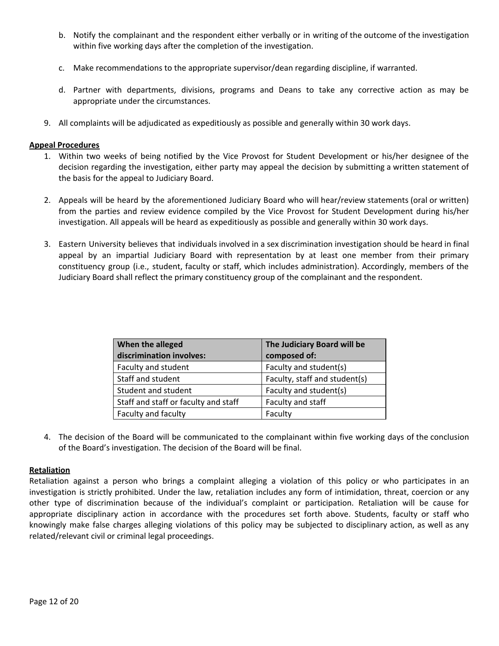- b. Notify the complainant and the respondent either verbally or in writing of the outcome of the investigation within five working days after the completion of the investigation.
- c. Make recommendations to the appropriate supervisor/dean regarding discipline, if warranted.
- d. Partner with departments, divisions, programs and Deans to take any corrective action as may be appropriate under the circumstances.
- 9. All complaints will be adjudicated as expeditiously as possible and generally within 30 work days.

## **Appeal Procedures**

- 1. Within two weeks of being notified by the Vice Provost for Student Development or his/her designee of the decision regarding the investigation, either party may appeal the decision by submitting a written statement of the basis for the appeal to Judiciary Board.
- 2. Appeals will be heard by the aforementioned Judiciary Board who will hear/review statements (oral or written) from the parties and review evidence compiled by the Vice Provost for Student Development during his/her investigation. All appeals will be heard as expeditiously as possible and generally within 30 work days.
- 3. Eastern University believes that individuals involved in a sex discrimination investigation should be heard in final appeal by an impartial Judiciary Board with representation by at least one member from their primary constituency group (i.e., student, faculty or staff, which includes administration). Accordingly, members of the Judiciary Board shall reflect the primary constituency group of the complainant and the respondent.

| When the alleged                     | The Judiciary Board will be   |  |
|--------------------------------------|-------------------------------|--|
| discrimination involves:             | composed of:                  |  |
| Faculty and student                  | Faculty and student(s)        |  |
| Staff and student                    | Faculty, staff and student(s) |  |
| Student and student                  | Faculty and student(s)        |  |
| Staff and staff or faculty and staff | Faculty and staff             |  |
| Faculty and faculty                  | Faculty                       |  |

4. The decision of the Board will be communicated to the complainant within five working days of the conclusion of the Board's investigation. The decision of the Board will be final.

# **Retaliation**

Retaliation against a person who brings a complaint alleging a violation of this policy or who participates in an investigation is strictly prohibited. Under the law, retaliation includes any form of intimidation, threat, coercion or any other type of discrimination because of the individual's complaint or participation. Retaliation will be cause for appropriate disciplinary action in accordance with the procedures set forth above. Students, faculty or staff who knowingly make false charges alleging violations of this policy may be subjected to disciplinary action, as well as any related/relevant civil or criminal legal proceedings.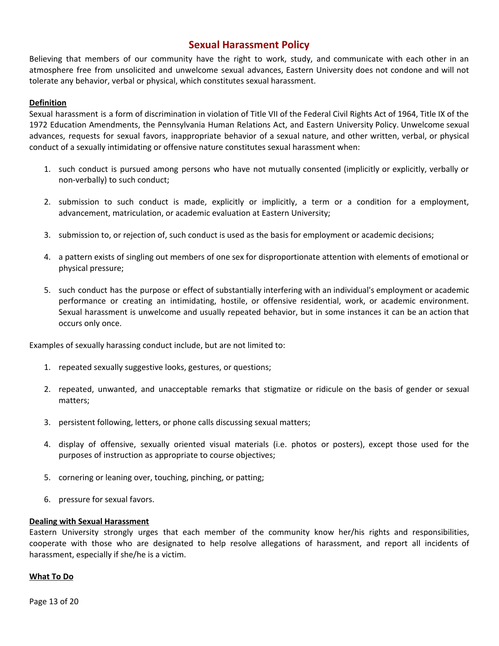# **Sexual Harassment Policy**

Believing that members of our community have the right to work, study, and communicate with each other in an atmosphere free from unsolicited and unwelcome sexual advances, Eastern University does not condone and will not tolerate any behavior, verbal or physical, which constitutes sexual harassment.

# **Definition**

Sexual harassment is a form of discrimination in violation of Title VII of the Federal Civil Rights Act of 1964, Title IX of the 1972 Education Amendments, the Pennsylvania Human Relations Act, and Eastern University Policy. Unwelcome sexual advances, requests for sexual favors, inappropriate behavior of a sexual nature, and other written, verbal, or physical conduct of a sexually intimidating or offensive nature constitutes sexual harassment when:

- 1. such conduct is pursued among persons who have not mutually consented (implicitly or explicitly, verbally or non-verbally) to such conduct;
- 2. submission to such conduct is made, explicitly or implicitly, a term or a condition for a employment, advancement, matriculation, or academic evaluation at Eastern University;
- 3. submission to, or rejection of, such conduct is used as the basis for employment or academic decisions;
- 4. a pattern exists of singling out members of one sex for disproportionate attention with elements of emotional or physical pressure;
- 5. such conduct has the purpose or effect of substantially interfering with an individual's employment or academic performance or creating an intimidating, hostile, or offensive residential, work, or academic environment. Sexual harassment is unwelcome and usually repeated behavior, but in some instances it can be an action that occurs only once.

Examples of sexually harassing conduct include, but are not limited to:

- 1. repeated sexually suggestive looks, gestures, or questions;
- 2. repeated, unwanted, and unacceptable remarks that stigmatize or ridicule on the basis of gender or sexual matters;
- 3. persistent following, letters, or phone calls discussing sexual matters;
- 4. display of offensive, sexually oriented visual materials (i.e. photos or posters), except those used for the purposes of instruction as appropriate to course objectives;
- 5. cornering or leaning over, touching, pinching, or patting;
- 6. pressure for sexual favors.

#### **Dealing with Sexual Harassment**

Eastern University strongly urges that each member of the community know her/his rights and responsibilities, cooperate with those who are designated to help resolve allegations of harassment, and report all incidents of harassment, especially if she/he is a victim.

#### **What To Do**

Page 13 of 20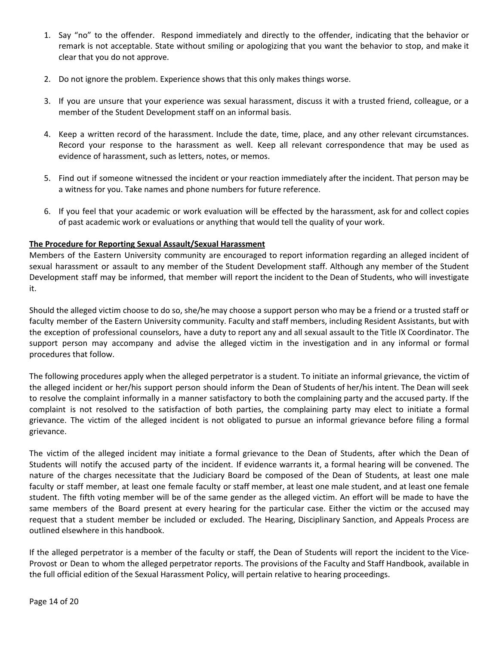- 1. Say "no" to the offender. Respond immediately and directly to the offender, indicating that the behavior or remark is not acceptable. State without smiling or apologizing that you want the behavior to stop, and make it clear that you do not approve.
- 2. Do not ignore the problem. Experience shows that this only makes things worse.
- 3. If you are unsure that your experience was sexual harassment, discuss it with a trusted friend, colleague, or a member of the Student Development staff on an informal basis.
- 4. Keep a written record of the harassment. Include the date, time, place, and any other relevant circumstances. Record your response to the harassment as well. Keep all relevant correspondence that may be used as evidence of harassment, such as letters, notes, or memos.
- 5. Find out if someone witnessed the incident or your reaction immediately after the incident. That person may be a witness for you. Take names and phone numbers for future reference.
- 6. If you feel that your academic or work evaluation will be effected by the harassment, ask for and collect copies of past academic work or evaluations or anything that would tell the quality of your work.

# **The Procedure for Reporting Sexual Assault/Sexual Harassment**

Members of the Eastern University community are encouraged to report information regarding an alleged incident of sexual harassment or assault to any member of the Student Development staff. Although any member of the Student Development staff may be informed, that member will report the incident to the Dean of Students, who will investigate it.

Should the alleged victim choose to do so, she/he may choose a support person who may be a friend or a trusted staff or faculty member of the Eastern University community. Faculty and staff members, including Resident Assistants, but with the exception of professional counselors, have a duty to report any and all sexual assault to the Title IX Coordinator. The support person may accompany and advise the alleged victim in the investigation and in any informal or formal procedures that follow.

The following procedures apply when the alleged perpetrator is a student. To initiate an informal grievance, the victim of the alleged incident or her/his support person should inform the Dean of Students of her/his intent. The Dean will seek to resolve the complaint informally in a manner satisfactory to both the complaining party and the accused party. If the complaint is not resolved to the satisfaction of both parties, the complaining party may elect to initiate a formal grievance. The victim of the alleged incident is not obligated to pursue an informal grievance before filing a formal grievance.

The victim of the alleged incident may initiate a formal grievance to the Dean of Students, after which the Dean of Students will notify the accused party of the incident. If evidence warrants it, a formal hearing will be convened. The nature of the charges necessitate that the Judiciary Board be composed of the Dean of Students, at least one male faculty or staff member, at least one female faculty or staff member, at least one male student, and at least one female student. The fifth voting member will be of the same gender as the alleged victim. An effort will be made to have the same members of the Board present at every hearing for the particular case. Either the victim or the accused may request that a student member be included or excluded. The Hearing, Disciplinary Sanction, and Appeals Process are outlined elsewhere in this handbook.

If the alleged perpetrator is a member of the faculty or staff, the Dean of Students will report the incident to the Vice-Provost or Dean to whom the alleged perpetrator reports. The provisions of the Faculty and Staff Handbook, available in the full official edition of the Sexual Harassment Policy, will pertain relative to hearing proceedings.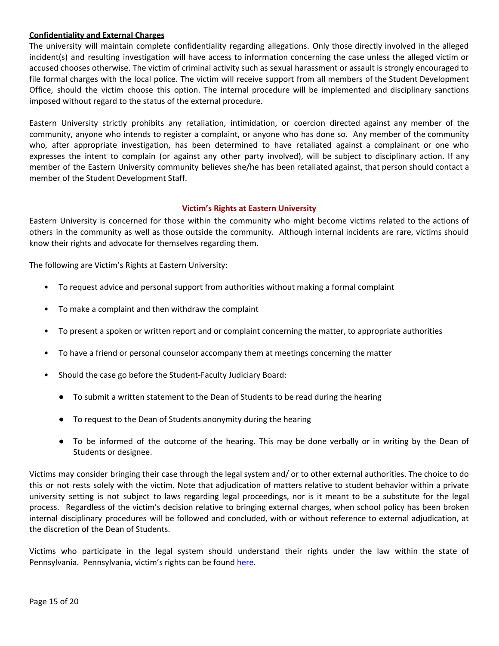# **Confidentiality and External Charges**

The university will maintain complete confidentiality regarding allegations. Only those directly involved in the alleged incident(s) and resulting investigation will have access to information concerning the case unless the alleged victim or accused chooses otherwise. The victim of criminal activity such as sexual harassment or assault is strongly encouraged to file formal charges with the local police. The victim will receive support from all members of the Student Development Office, should the victim choose this option. The internal procedure will be implemented and disciplinary sanctions imposed without regard to the status of the external procedure.

Eastern University strictly prohibits any retaliation, intimidation, or coercion directed against any member of the community, anyone who intends to register a complaint, or anyone who has done so. Any member of the community who, after appropriate investigation, has been determined to have retaliated against a complainant or one who expresses the intent to complain (or against any other party involved), will be subject to disciplinary action. If any member of the Eastern University community believes she/he has been retaliated against, that person should contact a member of the Student Development Staff.

# **Victim's Rights at Eastern University**

Eastern University is concerned for those within the community who might become victims related to the actions of others in the community as well as those outside the community. Although internal incidents are rare, victims should know their rights and advocate for themselves regarding them.

The following are Victim's Rights at Eastern University:

- To request advice and personal support from authorities without making a formal complaint
- To make a complaint and then withdraw the complaint
- To present a spoken or written report and or complaint concerning the matter, to appropriate authorities
- To have a friend or personal counselor accompany them at meetings concerning the matter
- Should the case go before the Student-Faculty Judiciary Board:
	- To submit a written statement to the Dean of Students to be read during the hearing
	- To request to the Dean of Students anonymity during the hearing
	- To be informed of the outcome of the hearing. This may be done verbally or in writing by the Dean of Students or designee.

Victims may consider bringing their case through the legal system and/ or to other external authorities. The choice to do this or not rests solely with the victim. Note that adjudication of matters relative to student behavior within a private university setting is not subject to laws regarding legal proceedings, nor is it meant to be a substitute for the legal process. Regardless of the victim's decision relative to bringing external charges, when school policy has been broken internal disciplinary procedures will be followed and concluded, with or without reference to external adjudication, at the discretion of the Dean of Students.

Victims who participate in the legal system should understand their rights under the law within the state of Pennsylvania. Pennsylvania, victim's rights can be found [here](http://crime.about.com/od/victims/qt/victims_pa.htm).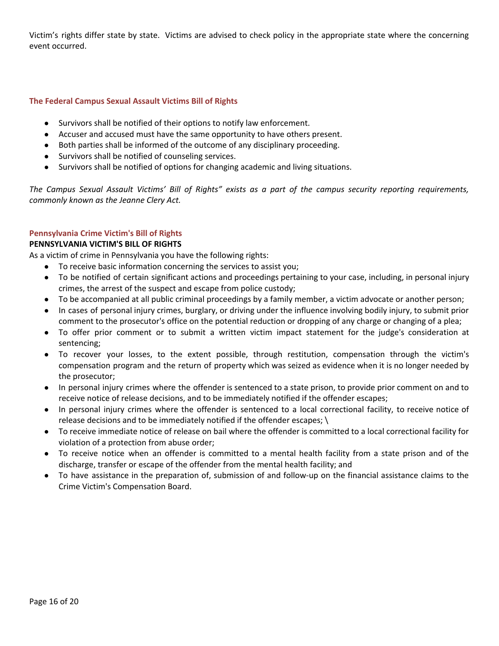Victim's rights differ state by state. Victims are advised to check policy in the appropriate state where the concerning event occurred.

# **The Federal Campus Sexual Assault Victims Bill of Rights**

- Survivors shall be notified of their options to notify law enforcement.
- Accuser and accused must have the same opportunity to have others present.
- Both parties shall be informed of the outcome of any disciplinary proceeding.
- Survivors shall be notified of counseling services.
- Survivors shall be notified of options for changing academic and living situations.

The Campus Sexual Assault Victims' Bill of Rights" exists as a part of the campus security reporting requirements, *commonly known as the Jeanne Clery Act.*

#### **Pennsylvania Crime Victim's Bill of Rights**

#### **PENNSYLVANIA VICTIM'S BILL OF RIGHTS**

As a victim of crime in Pennsylvania you have the following rights:

- To receive basic information concerning the services to assist you;
- To be notified of certain significant actions and proceedings pertaining to your case, including, in personal injury crimes, the arrest of the suspect and escape from police custody;
- To be accompanied at all public criminal proceedings by a family member, a victim advocate or another person;
- In cases of personal injury crimes, burglary, or driving under the influence involving bodily injury, to submit prior comment to the prosecutor's office on the potential reduction or dropping of any charge or changing of a plea;
- To offer prior comment or to submit a written victim impact statement for the judge's consideration at sentencing;
- To recover your losses, to the extent possible, through restitution, compensation through the victim's compensation program and the return of property which was seized as evidence when it is no longer needed by the prosecutor;
- In personal injury crimes where the offender is sentenced to a state prison, to provide prior comment on and to receive notice of release decisions, and to be immediately notified if the offender escapes;
- In personal injury crimes where the offender is sentenced to a local correctional facility, to receive notice of release decisions and to be immediately notified if the offender escapes; \
- To receive immediate notice of release on bail where the offender is committed to a local correctional facility for violation of a protection from abuse order;
- To receive notice when an offender is committed to a mental health facility from a state prison and of the discharge, transfer or escape of the offender from the mental health facility; and
- To have assistance in the preparation of, submission of and follow-up on the financial assistance claims to the Crime Victim's Compensation Board.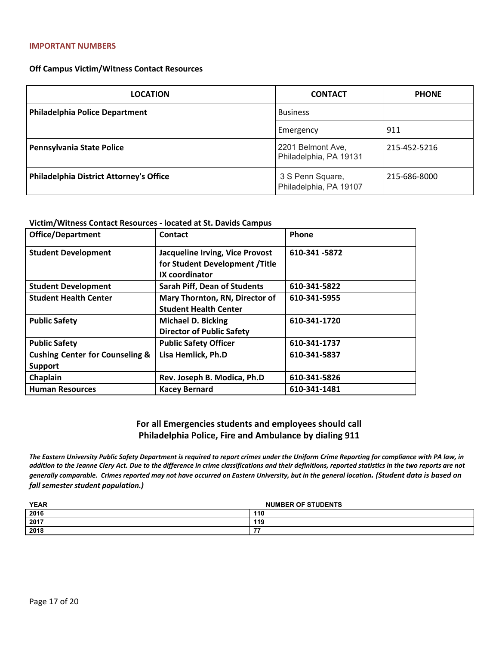#### **Off Campus Victim/Witness Contact Resources**

| <b>LOCATION</b>                                | <b>CONTACT</b>                              | <b>PHONE</b> |
|------------------------------------------------|---------------------------------------------|--------------|
| <b>Philadelphia Police Department</b>          | <b>Business</b>                             |              |
|                                                | Emergency                                   | 911          |
| Pennsylvania State Police                      | 2201 Belmont Ave,<br>Philadelphia, PA 19131 | 215-452-5216 |
| <b>Philadelphia District Attorney's Office</b> | 3 S Penn Square,<br>Philadelphia, PA 19107  | 215-686-8000 |

#### **Victim/Witness Contact Resources - located at St. Davids Campus**

| <b>Office/Department</b>                   | Contact                                                           | Phone         |
|--------------------------------------------|-------------------------------------------------------------------|---------------|
| <b>Student Development</b>                 | Jacqueline Irving, Vice Provost<br>for Student Development /Title | 610-341 -5872 |
|                                            | IX coordinator                                                    |               |
| <b>Student Development</b>                 | <b>Sarah Piff, Dean of Students</b>                               | 610-341-5822  |
| <b>Student Health Center</b>               | Mary Thornton, RN, Director of                                    | 610-341-5955  |
|                                            | <b>Student Health Center</b>                                      |               |
| <b>Public Safety</b>                       | <b>Michael D. Bicking</b>                                         | 610-341-1720  |
|                                            | <b>Director of Public Safety</b>                                  |               |
| <b>Public Safety</b>                       | <b>Public Safety Officer</b>                                      | 610-341-1737  |
| <b>Cushing Center for Counseling &amp;</b> | Lisa Hemlick, Ph.D                                                | 610-341-5837  |
| <b>Support</b>                             |                                                                   |               |
| Chaplain                                   | Rev. Joseph B. Modica, Ph.D                                       | 610-341-5826  |
| <b>Human Resources</b>                     | <b>Kacey Bernard</b>                                              | 610-341-1481  |

# **For all Emergencies students and employees should call Philadelphia Police, Fire and Ambulance by dialing 911**

*The Eastern University Public Safety Department is required to report crimes under the Uniform Crime Reporting for compliance with PA law, in addition to the Jeanne Clery Act. Due to the difference in crime classifications and their definitions, reported statistics in the two reports are not generally comparable. Crimes reported may not have occurred on Eastern University, but in the general location. (Student data is based on fall semester student population.)*

| <b>YEAR</b> | <b>NUMBER OF STUDENTS</b> |  |  |  |  |
|-------------|---------------------------|--|--|--|--|
| 2016        | 110                       |  |  |  |  |
| 2017        | 119                       |  |  |  |  |
| 2018        | --                        |  |  |  |  |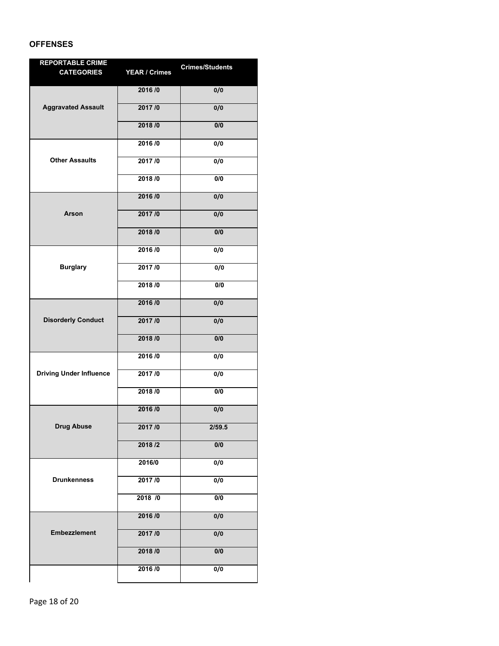# **OFFENSES**

| <b>REPORTABLE CRIME</b>        |                      | <b>Crimes/Students</b> |
|--------------------------------|----------------------|------------------------|
| <b>CATEGORIES</b>              | <b>YEAR / Crimes</b> |                        |
|                                | 2016 / 0             | 0/0                    |
| <b>Aggravated Assault</b>      | 2017/0               | 0/0                    |
|                                | 2018 /0              | 0/0                    |
|                                | 2016 /0              | 0/0                    |
| <b>Other Assaults</b>          | 2017/0               | 0/0                    |
|                                | 2018 / 0             | 0/0                    |
|                                | 2016 / 0             | 0/0                    |
| Arson                          | 2017/0               | 0/0                    |
|                                | 2018 /0              | 0/0                    |
|                                | 2016/0               | 0/0                    |
| <b>Burglary</b>                | 2017/0               | 0/0                    |
|                                | 2018 /0              | 0/0                    |
|                                | 2016 /0              | 0/0                    |
| <b>Disorderly Conduct</b>      | 2017/0               | 0/0                    |
|                                | 2018 /0              | 0/0                    |
|                                | 2016/0               | 0/0                    |
| <b>Driving Under Influence</b> | 2017/0               | 0/0                    |
|                                | 2018 / 0             | 0/0                    |
|                                | 2016 /0              | 0/0                    |
| <b>Drug Abuse</b>              | 2017/0               | 2/59.5                 |
|                                | 2018 /2              | 0/0                    |
|                                | 2016/0               | 0/0                    |
| <b>Drunkenness</b>             | 2017/0               | 0/0                    |
|                                | 2018 /0              | 0/0                    |
|                                | 2016/0               | 0/0                    |
| <b>Embezzlement</b>            | 2017/0               | 0/0                    |
|                                | 2018 / 0             | 0/0                    |
|                                | 2016 / 0             | 0/0                    |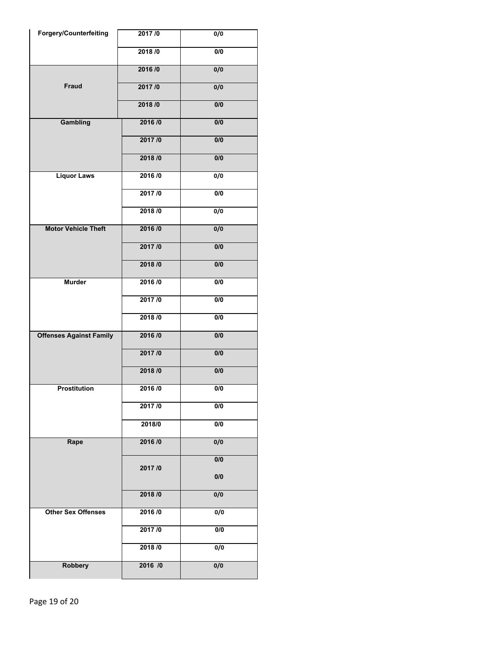| <b>Forgery/Counterfeiting</b>  | 2017/0  | $\overline{0/0}$ |
|--------------------------------|---------|------------------|
|                                | 2018/0  | 0/0              |
|                                | 2016/0  | 0/0              |
| <b>Fraud</b>                   | 2017/0  | 0/0              |
|                                | 2018/0  | $\overline{0/0}$ |
| Gambling                       | 2016/0  | 0/0              |
|                                | 2017/0  | $\overline{0/0}$ |
|                                | 2018/0  | 0/0              |
| <b>Liquor Laws</b>             | 2016/0  | $\overline{0/0}$ |
|                                | 2017/0  | 0/0              |
|                                | 2018/0  | $\overline{0/0}$ |
| <b>Motor Vehicle Theft</b>     | 2016/0  | 0/0              |
|                                | 2017/0  | $\overline{0/0}$ |
|                                | 2018/0  | 0/0              |
| <b>Murder</b>                  | 2016/0  | 0/0              |
|                                | 2017/0  | $\overline{0/0}$ |
|                                | 2018/0  | 0/0              |
| <b>Offenses Against Family</b> | 2016/0  | $\overline{0/0}$ |
|                                | 2017/0  | 0/0              |
|                                | 2018/0  | 0/0              |
| <b>Prostitution</b>            | 2016/0  | 0/0              |
|                                | 2017/0  | $\overline{0/0}$ |
|                                | 2018/0  | 0/0              |
| Rape                           | 2016/0  | $\overline{0/0}$ |
|                                | 2017/0  | 0/0              |
|                                |         | 0/0              |
|                                | 2018/0  | 0/0              |
| <b>Other Sex Offenses</b>      | 2016/0  | $\overline{0/0}$ |
|                                | 2017/0  | 0/0              |
|                                | 2018/0  | $\overline{0/0}$ |
| <b>Robbery</b>                 | 2016 /0 | 0/0              |